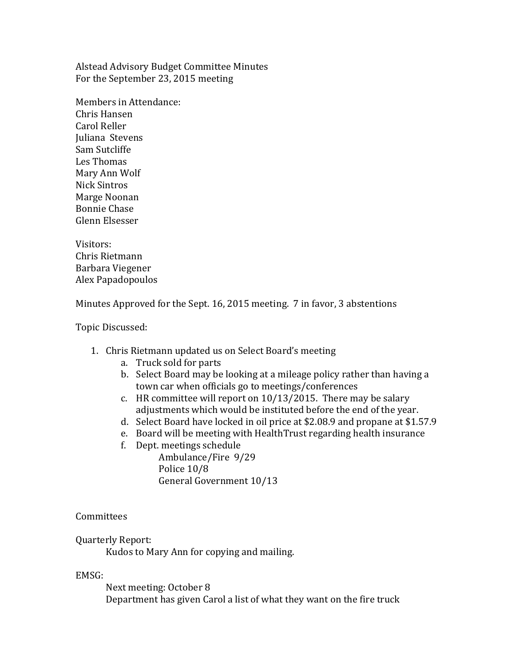Alstead Advisory Budget Committee Minutes For the September 23, 2015 meeting

Members in Attendance: Chris Hansen Carol Reller Juliana Stevens Sam Sutcliffe Les Thomas Mary Ann Wolf Nick Sintros Marge Noonan Bonnie Chase Glenn Elsesser

Visitors: Chris Rietmann Barbara Viegener Alex Papadopoulos

Minutes Approved for the Sept. 16, 2015 meeting. 7 in favor, 3 abstentions

Topic Discussed:

- 1. Chris Rietmann updated us on Select Board's meeting
	- a. Truck sold for parts
	- b. Select Board may be looking at a mileage policy rather than having a town car when officials go to meetings/conferences
	- c. HR committee will report on 10/13/2015. There may be salary adjustments which would be instituted before the end of the year.
	- d. Select Board have locked in oil price at \$2.08.9 and propane at \$1.57.9
	- e. Board will be meeting with HealthTrust regarding health insurance
	- f. Dept. meetings schedule

Ambulance/Fire 9/29 Police 10/8 General Government 10/13

## Committees

Quarterly Report:

Kudos to Mary Ann for copying and mailing.

## EMSG:

Next meeting: October 8 Department has given Carol a list of what they want on the fire truck